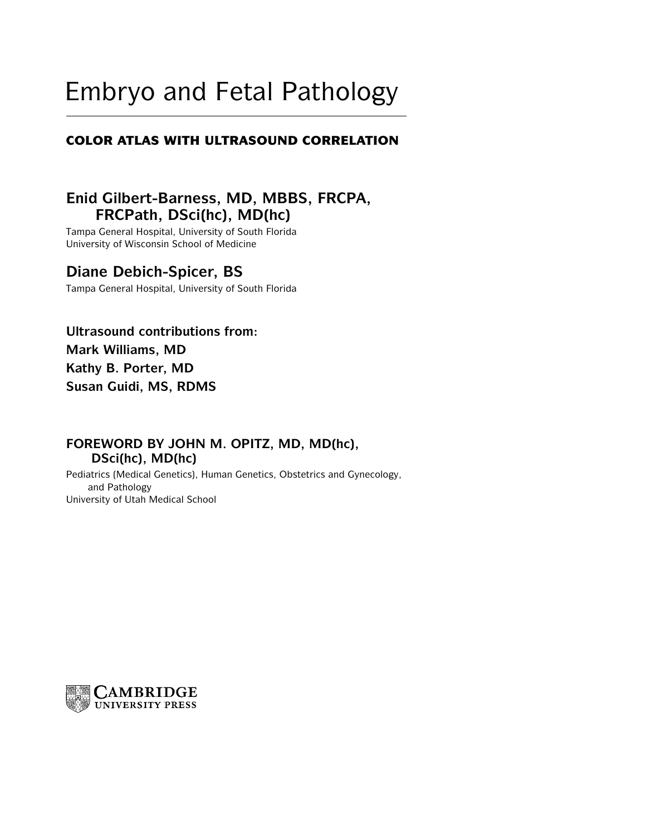# Embryo and Fetal Pathology

# **COLOR ATLAS WITH ULTRASOUND CORRELATION**

# **Enid Gilbert-Barness, MD, MBBS, FRCPA, FRCPath, DSci(hc), MD(hc)**

Tampa General Hospital, University of South Florida University of Wisconsin School of Medicine

# **Diane Debich-Spicer, BS**

Tampa General Hospital, University of South Florida

**Ultrasound contributions from: Mark Williams, MD Kathy B. Porter, MD Susan Guidi, MS, RDMS**

# **FOREWORD BY JOHN M. OPITZ, MD, MD(hc), DSci(hc), MD(hc)**

Pediatrics (Medical Genetics), Human Genetics, Obstetrics and Gynecology, and Pathology University of Utah Medical School

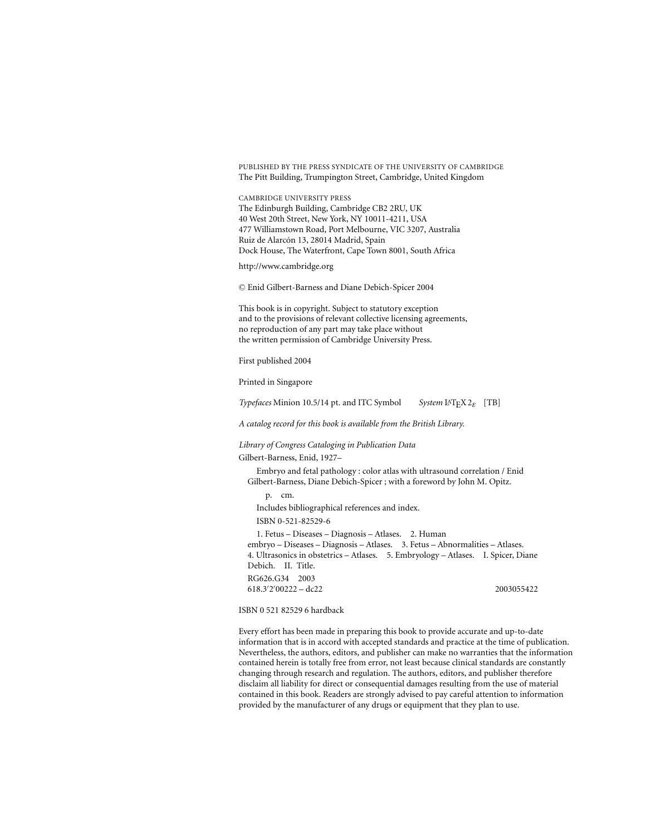PUBLISHED BY THE PRESS SYNDICATE OF THE UNIVERSITY OF CAMBRIDGE The Pitt Building, Trumpington Street, Cambridge, United Kingdom

CAMBRIDGE UNIVERSITY PRESS The Edinburgh Building, Cambridge CB2 2RU, UK 40 West 20th Street, New York, NY 10011-4211, USA 477 Williamstown Road, Port Melbourne, VIC 3207, Australia Ruiz de Alarcón 13, 28014 Madrid, Spain Dock House, The Waterfront, Cape Town 8001, South Africa

http://www.cambridge.org

-<sup>C</sup> Enid Gilbert-Barness and Diane Debich-Spicer 2004

This book is in copyright. Subject to statutory exception and to the provisions of relevant collective licensing agreements, no reproduction of any part may take place without the written permission of Cambridge University Press.

First published 2004

Printed in Singapore

*Typefaces* Minion 10.5/14 pt. and ITC Symbol *System* LATEX 2ε [TB]

*A catalog record for this book is available from the British Library.*

#### *Library of Congress Cataloging in Publication Data*

Gilbert-Barness, Enid, 1927–

Embryo and fetal pathology : color atlas with ultrasound correlation / Enid Gilbert-Barness, Diane Debich-Spicer ; with a foreword by John M. Opitz.

p. cm. Includes bibliographical references and index. ISBN 0-521-82529-6 1. Fetus – Diseases – Diagnosis – Atlases. 2. Human embryo – Diseases – Diagnosis – Atlases. 3. Fetus – Abnormalities – Atlases. 4. Ultrasonics in obstetrics – Atlases. 5. Embryology – Atlases. I. Spicer, Diane Debich. II. Title.

RG626.G34 2003 618.3 2 00222 – dc22 2003055422

ISBN 0 521 82529 6 hardback

Every effort has been made in preparing this book to provide accurate and up-to-date information that is in accord with accepted standards and practice at the time of publication. Nevertheless, the authors, editors, and publisher can make no warranties that the information contained herein is totally free from error, not least because clinical standards are constantly changing through research and regulation. The authors, editors, and publisher therefore disclaim all liability for direct or consequential damages resulting from the use of material contained in this book. Readers are strongly advised to pay careful attention to information provided by the manufacturer of any drugs or equipment that they plan to use.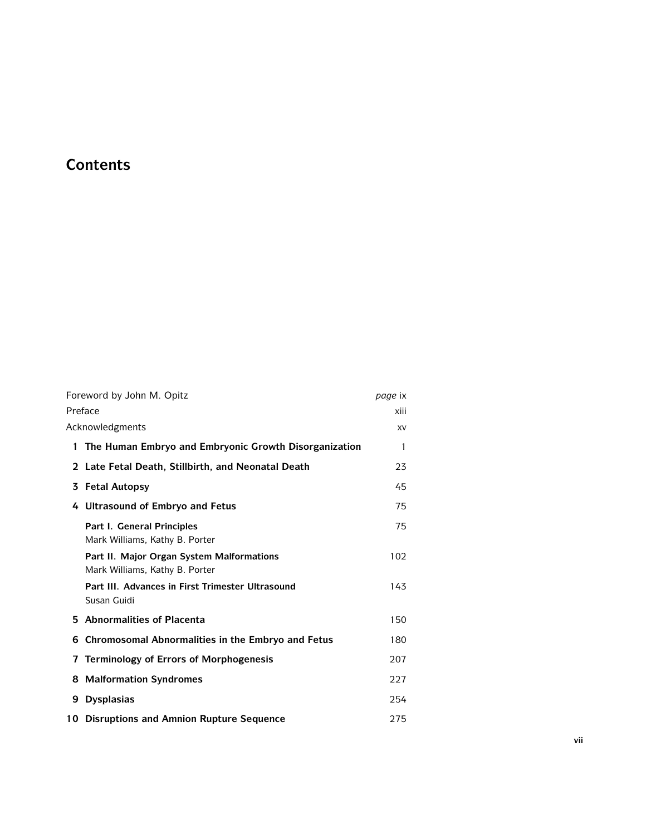# **Contents**

|   | Foreword by John M. Opitz                                                   | page ix      |
|---|-----------------------------------------------------------------------------|--------------|
|   | Preface                                                                     | xiii         |
|   | Acknowledgments                                                             | XV           |
|   | 1 The Human Embryo and Embryonic Growth Disorganization                     | $\mathbf{1}$ |
|   | 2 Late Fetal Death, Stillbirth, and Neonatal Death                          | 23           |
|   | 3 Fetal Autopsy                                                             | 45           |
|   | 4 Ultrasound of Embryo and Fetus                                            | 75           |
|   | Part I. General Principles<br>Mark Williams, Kathy B. Porter                | 75           |
|   | Part II. Major Organ System Malformations<br>Mark Williams, Kathy B. Porter | 102          |
|   | Part III. Advances in First Trimester Ultrasound<br>Susan Guidi             | 143          |
|   | 5 Abnormalities of Placenta                                                 | 150          |
| 6 | Chromosomal Abnormalities in the Embryo and Fetus                           | 180          |
|   | 7 Terminology of Errors of Morphogenesis                                    | 207          |
|   | 8 Malformation Syndromes                                                    | 227          |
| 9 | <b>Dysplasias</b>                                                           | 254          |
|   | 10 Disruptions and Amnion Rupture Sequence                                  | 275          |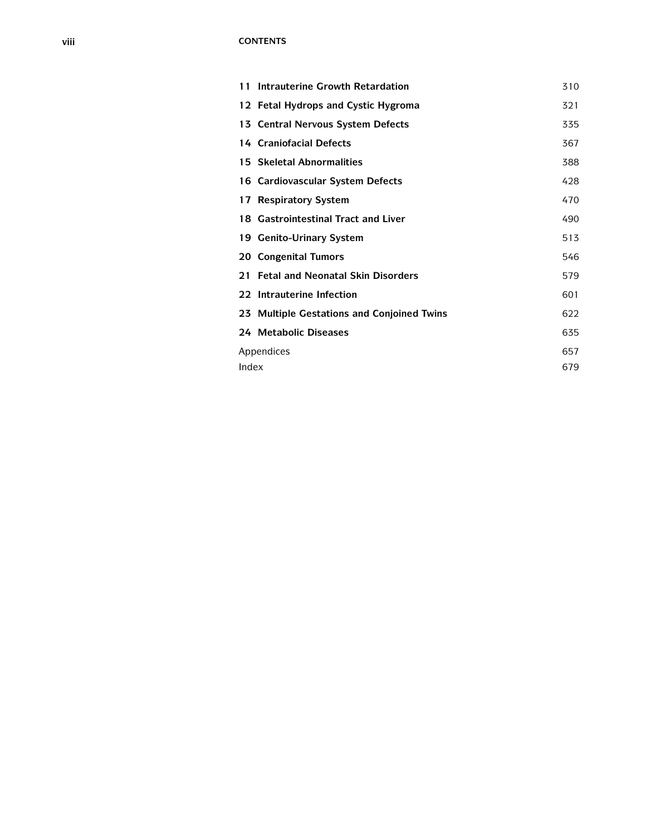# **viii CONTENTS**

|       | 11 Intrauterine Growth Retardation         |     |  |
|-------|--------------------------------------------|-----|--|
|       | 12 Fetal Hydrops and Cystic Hygroma        | 321 |  |
|       | 13 Central Nervous System Defects          | 335 |  |
|       | 14 Craniofacial Defects                    | 367 |  |
|       | 15 Skeletal Abnormalities                  | 388 |  |
|       | 16 Cardiovascular System Defects           | 428 |  |
|       | 17 Respiratory System                      | 470 |  |
|       | 18 Gastrointestinal Tract and Liver        | 490 |  |
|       | 19 Genito-Urinary System                   | 513 |  |
|       | 20 Congenital Tumors                       | 546 |  |
|       | 21 Fetal and Neonatal Skin Disorders       | 579 |  |
|       | 22 Intrauterine Infection                  | 601 |  |
|       | 23 Multiple Gestations and Conjoined Twins | 622 |  |
|       | 24 Metabolic Diseases                      | 635 |  |
|       | Appendices                                 | 657 |  |
| Index |                                            | 679 |  |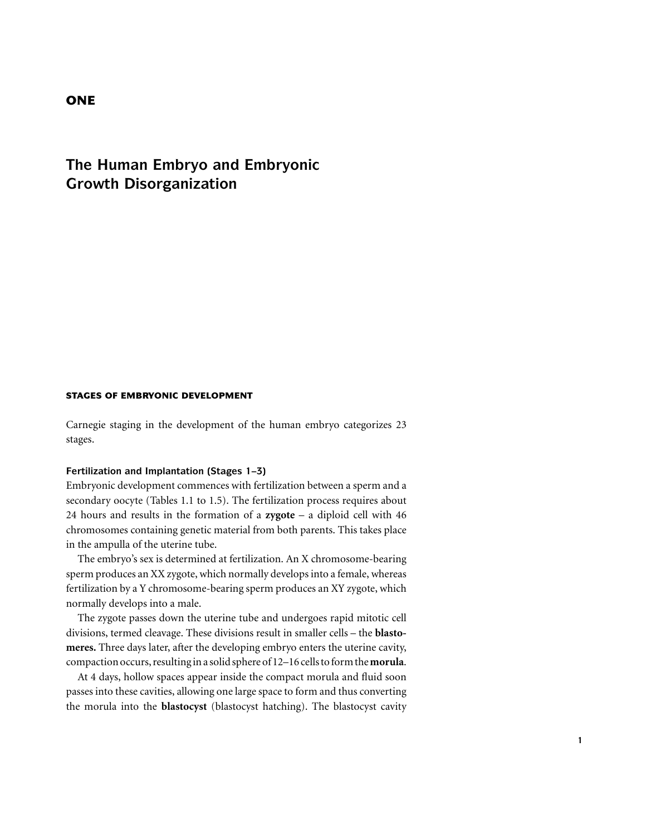# **ONE**

# **The Human Embryo and Embryonic Growth Disorganization**

# **STAGES OF EMBRYONIC DEVELOPMENT**

Carnegie staging in the development of the human embryo categorizes 23 stages.

# **Fertilization and Implantation (Stages 1–3)**

Embryonic development commences with fertilization between a sperm and a secondary oocyte (Tables 1.1 to 1.5). The fertilization process requires about 24 hours and results in the formation of a **zygote** – a diploid cell with 46 chromosomes containing genetic material from both parents. This takes place in the ampulla of the uterine tube.

The embryo's sex is determined at fertilization. An X chromosome-bearing sperm produces an XX zygote, which normally develops into a female, whereas fertilization by a Y chromosome-bearing sperm produces an XY zygote, which normally develops into a male.

The zygote passes down the uterine tube and undergoes rapid mitotic cell divisions, termed cleavage. These divisions result in smaller cells – the **blastomeres.** Three days later, after the developing embryo enters the uterine cavity, compaction occurs, resulting in a solid sphere of 12–16 cells to form the**morula**.

At 4 days, hollow spaces appear inside the compact morula and fluid soon passes into these cavities, allowing one large space to form and thus converting the morula into the **blastocyst** (blastocyst hatching). The blastocyst cavity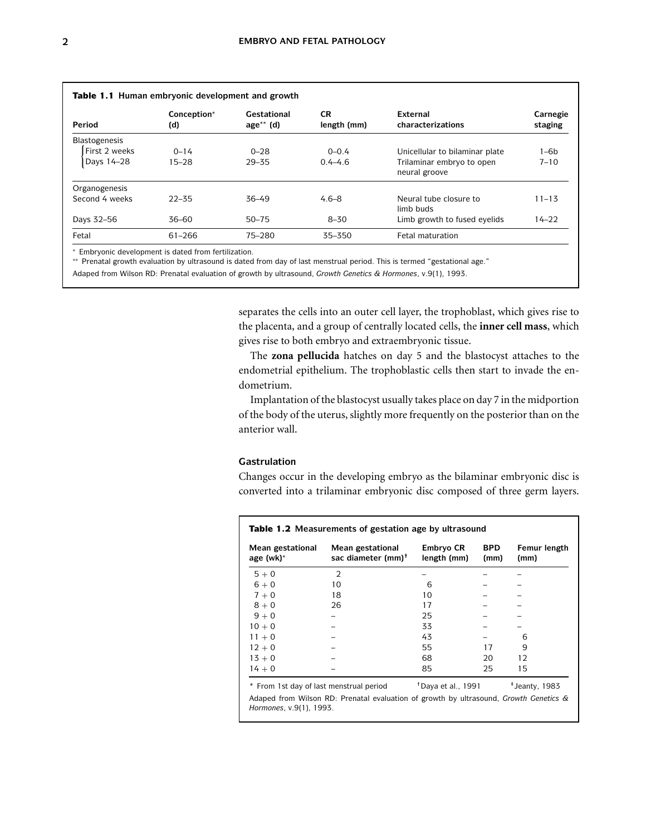| Period               | Conception*<br>(d) | Gestational<br>$age^{**}$ (d) | <b>CR</b><br>length (mm) | External<br>characterizations              | Carnegie<br>staging |
|----------------------|--------------------|-------------------------------|--------------------------|--------------------------------------------|---------------------|
| <b>Blastogenesis</b> |                    |                               |                          |                                            |                     |
| First 2 weeks        | $0 - 14$           | $0 - 28$                      | $0 - 0.4$                | Unicellular to bilaminar plate             | 1–6b                |
| Days 14-28           | $15 - 28$          | $29 - 35$                     | $0.4 - 4.6$              | Trilaminar embryo to open<br>neural groove | $7 - 10$            |
| Organogenesis        |                    |                               |                          |                                            |                     |
| Second 4 weeks       | $22 - 35$          | $36 - 49$                     | $4.6 - 8$                | Neural tube closure to<br>limb buds        | $11 - 13$           |
| Days 32-56           | $36 - 60$          | $50 - 75$                     | $8 - 30$                 | Limb growth to fused eyelids               | $14 - 22$           |
| Fetal                | $61 - 266$         | 75-280                        | 35-350                   | Fetal maturation                           |                     |

Embryonic development is dated from fertilization.

∗∗ Prenatal growth evaluation by ultrasound is dated from day of last menstrual period. This is termed "gestational age."

Adaped from Wilson RD: Prenatal evaluation of growth by ultrasound, *Growth Genetics & Hormones*, v.9(1), 1993.

separates the cells into an outer cell layer, the trophoblast, which gives rise to the placenta, and a group of centrally located cells, the **inner cell mass**, which gives rise to both embryo and extraembryonic tissue.

The **zona pellucida** hatches on day 5 and the blastocyst attaches to the endometrial epithelium. The trophoblastic cells then start to invade the endometrium.

Implantation of the blastocyst usually takes place on day 7 in the midportion of the body of the uterus, slightly more frequently on the posterior than on the anterior wall.

#### **Gastrulation**

Changes occur in the developing embryo as the bilaminar embryonic disc is converted into a trilaminar embryonic disc composed of three germ layers.

| Mean gestational<br>age (wk)* | Mean gestational<br>sac diameter (mm) <sup>†</sup> | Embryo CR<br>length (mm) | <b>BPD</b><br>(mm) | Femur length<br>(mm) |
|-------------------------------|----------------------------------------------------|--------------------------|--------------------|----------------------|
| $5 + 0$                       | $\overline{2}$                                     |                          |                    |                      |
| $6 + 0$                       | 10                                                 | 6                        |                    |                      |
| $7 + 0$                       | 18                                                 | 10                       |                    |                      |
| $8 + 0$                       | 26                                                 | 17                       |                    |                      |
| $9 + 0$                       |                                                    | 25                       |                    |                      |
| $10 + 0$                      |                                                    | 33                       |                    |                      |
| $11 + 0$                      |                                                    | 43                       |                    | 6                    |
| $12 + 0$                      |                                                    | 55                       | 17                 | 9                    |
| $13 + 0$                      |                                                    | 68                       | 20                 | 12                   |
| $14 + 0$                      |                                                    | 85                       | 25                 | 15                   |

*Hormones*, v.9(1), 1993.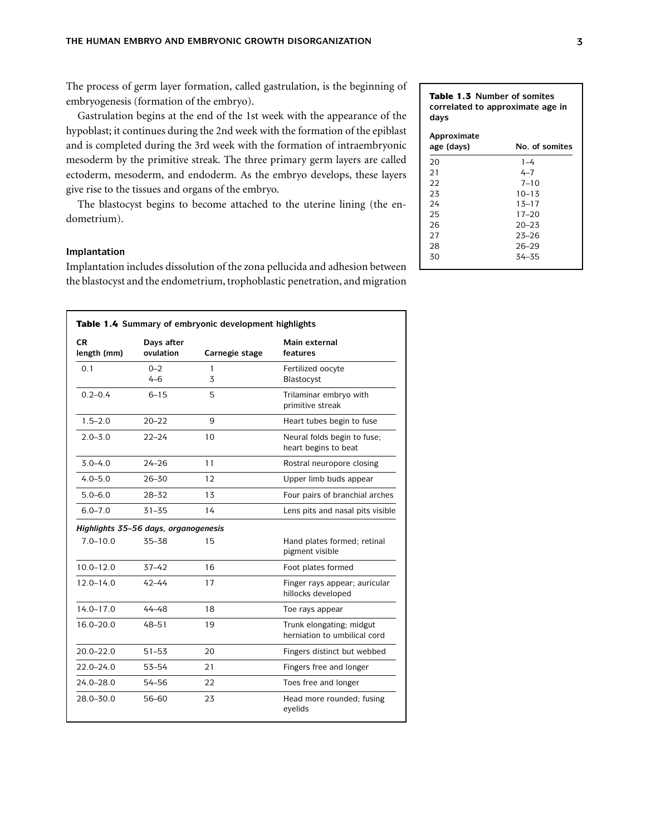The process of germ layer formation, called gastrulation, is the beginning of embryogenesis (formation of the embryo).

Gastrulation begins at the end of the 1st week with the appearance of the hypoblast; it continues during the 2nd week with the formation of the epiblast and is completed during the 3rd week with the formation of intraembryonic mesoderm by the primitive streak. The three primary germ layers are called ectoderm, mesoderm, and endoderm. As the embryo develops, these layers give rise to the tissues and organs of the embryo.

The blastocyst begins to become attached to the uterine lining (the endometrium).

# **Implantation**

Implantation includes dissolution of the zona pellucida and adhesion between the blastocyst and the endometrium, trophoblastic penetration, and migration

| CR.<br>length (mm) | Days after<br>ovulation              | Carnegie stage | Main external<br>features                                |
|--------------------|--------------------------------------|----------------|----------------------------------------------------------|
| 0.1                | $0 - 2$<br>$4 - 6$                   | 1<br>3         | Fertilized oocyte<br>Blastocyst                          |
| $0.2 - 0.4$        | $6 - 15$                             | 5              | Trilaminar embryo with<br>primitive streak               |
| $1.5 - 2.0$        | $20 - 22$                            | 9              | Heart tubes begin to fuse                                |
| $2.0 - 3.0$        | $22 - 24$                            | 10             | Neural folds begin to fuse;<br>heart begins to beat      |
| $3.0 - 4.0$        | $24 - 26$                            | 11             | Rostral neuropore closing                                |
| $4.0 - 5.0$        | $26 - 30$                            | 12             | Upper limb buds appear                                   |
| $5.0 - 6.0$        | $28 - 32$                            | 13             | Four pairs of branchial arches                           |
| $6.0 - 7.0$        | $31 - 35$                            | 14             | Lens pits and nasal pits visible                         |
|                    | Highlights 35-56 days, organogenesis |                |                                                          |
| $7.0 - 10.0$       | 35-38                                | 15             | Hand plates formed; retinal<br>pigment visible           |
| $10.0 - 12.0$      | $37 - 42$                            | 16             | Foot plates formed                                       |
| $12.0 - 14.0$      | $42 - 44$                            | 17             | Finger rays appear; auricular<br>hillocks developed      |
| $14.0 - 17.0$      | $44 - 48$                            | 18             | Toe rays appear                                          |
| $16.0 - 20.0$      | $48 - 51$                            | 19             | Trunk elongating; midgut<br>herniation to umbilical cord |
| $20.0 - 22.0$      | $51 - 53$                            | 20             | Fingers distinct but webbed                              |
| $22.0 - 24.0$      | $53 - 54$                            | 21             | Fingers free and longer                                  |
| $24.0 - 28.0$      | 54-56                                | 22             | Toes free and longer                                     |
| $28.0 - 30.0$      | 56-60                                | 23             | Head more rounded; fusing<br>eyelids                     |

# **correlated to approximate age in days Approximate age (days) No. of somites** 20 1–4<br>21 4–7  $4 - 7$ 22 7–10 23 10–13 24 13–17<br>25 17–20 25 17–20 26 20–23 27 23–26 28 26–29 34 - 35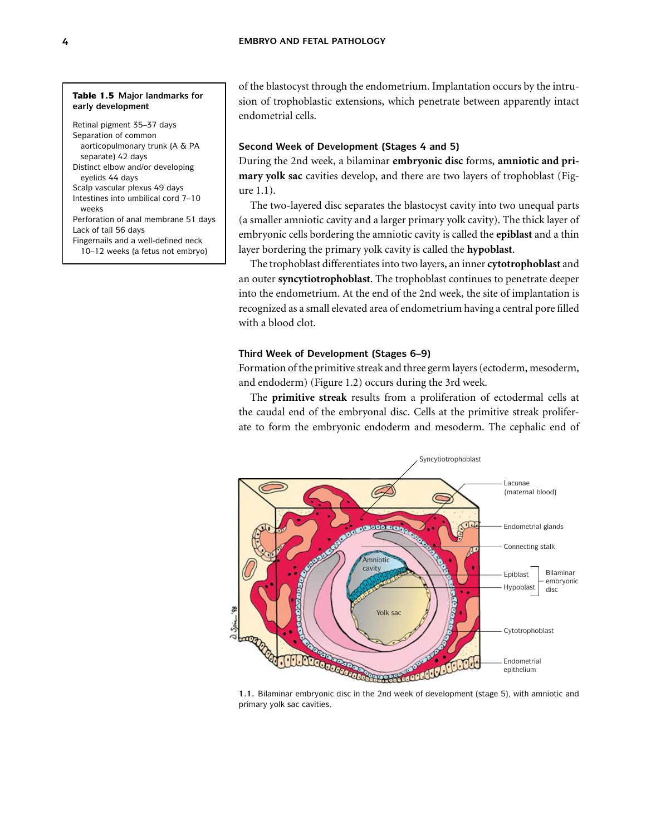#### **Table 1.5 Major landmarks for early development**

Retinal pigment 35–37 days Separation of common aorticopulmonary trunk (A & PA separate) 42 days Distinct elbow and/or developing eyelids 44 days Scalp vascular plexus 49 days Intestines into umbilical cord 7–10 weeks Perforation of anal membrane 51 days

# Lack of tail 56 days

Fingernails and a well-defined neck 10–12 weeks (a fetus not embryo) of the blastocyst through the endometrium. Implantation occurs by the intrusion of trophoblastic extensions, which penetrate between apparently intact endometrial cells.

# **Second Week of Development (Stages 4 and 5)**

During the 2nd week, a bilaminar **embryonic disc** forms, **amniotic and primary yolk sac** cavities develop, and there are two layers of trophoblast (Figure 1.1).

The two-layered disc separates the blastocyst cavity into two unequal parts (a smaller amniotic cavity and a larger primary yolk cavity). The thick layer of embryonic cells bordering the amniotic cavity is called the **epiblast** and a thin layer bordering the primary yolk cavity is called the **hypoblast**.

The trophoblast differentiates into two layers, an inner **cytotrophoblast** and an outer **syncytiotrophoblast**. The trophoblast continues to penetrate deeper into the endometrium. At the end of the 2nd week, the site of implantation is recognized as a small elevated area of endometrium having a central pore filled with a blood clot.

# **Third Week of Development (Stages 6–9)**

Formation of the primitive streak and three germ layers (ectoderm, mesoderm, and endoderm) (Figure 1.2) occurs during the 3rd week.

The **primitive streak** results from a proliferation of ectodermal cells at the caudal end of the embryonal disc. Cells at the primitive streak proliferate to form the embryonic endoderm and mesoderm. The cephalic end of



**1.1.** Bilaminar embryonic disc in the 2nd week of development (stage 5), with amniotic and primary yolk sac cavities.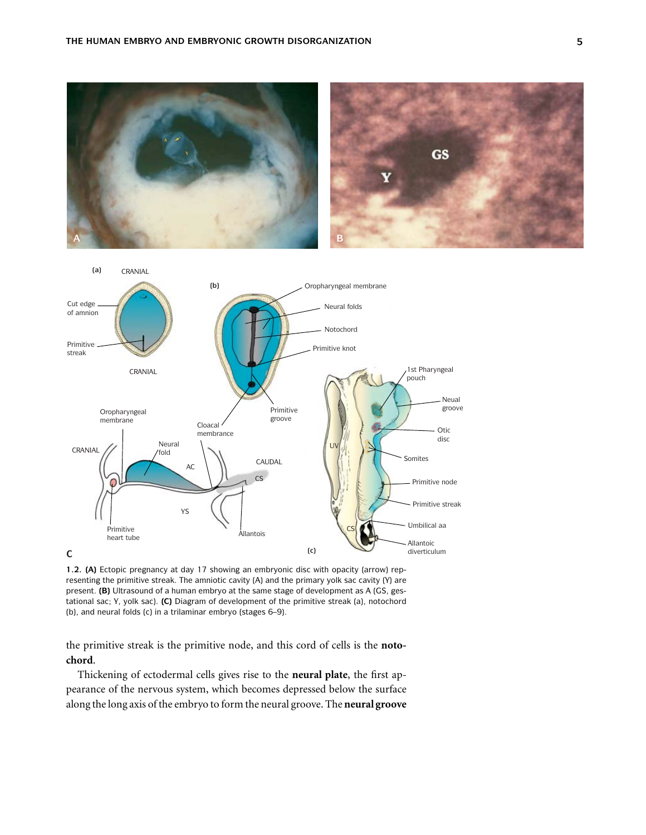



**1.2. (A)** Ectopic pregnancy at day 17 showing an embryonic disc with opacity (arrow) representing the primitive streak. The amniotic cavity (A) and the primary yolk sac cavity (Y) are present. **(B)** Ultrasound of a human embryo at the same stage of development as A (GS, gestational sac; Y, yolk sac). **(C)** Diagram of development of the primitive streak (a), notochord (b), and neural folds (c) in a trilaminar embryo (stages 6–9).

the primitive streak is the primitive node, and this cord of cells is the **notochord**.

Thickening of ectodermal cells gives rise to the **neural plate**, the first appearance of the nervous system, which becomes depressed below the surface along the long axis of the embryo to form the neural groove. The **neural groove**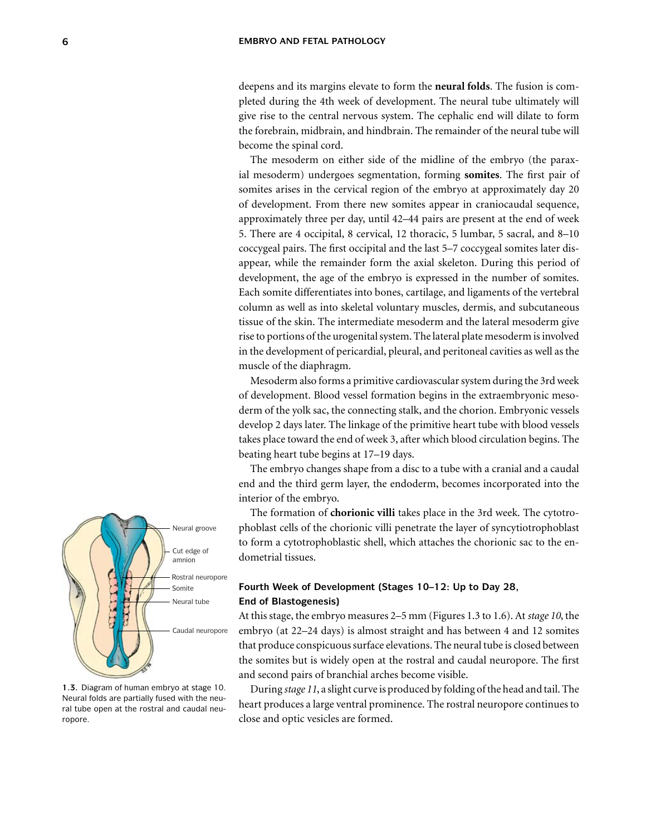deepens and its margins elevate to form the **neural folds**. The fusion is completed during the 4th week of development. The neural tube ultimately will give rise to the central nervous system. The cephalic end will dilate to form the forebrain, midbrain, and hindbrain. The remainder of the neural tube will become the spinal cord.

The mesoderm on either side of the midline of the embryo (the paraxial mesoderm) undergoes segmentation, forming **somites**. The first pair of somites arises in the cervical region of the embryo at approximately day 20 of development. From there new somites appear in craniocaudal sequence, approximately three per day, until 42–44 pairs are present at the end of week 5. There are 4 occipital, 8 cervical, 12 thoracic, 5 lumbar, 5 sacral, and 8–10 coccygeal pairs. The first occipital and the last 5–7 coccygeal somites later disappear, while the remainder form the axial skeleton. During this period of development, the age of the embryo is expressed in the number of somites. Each somite differentiates into bones, cartilage, and ligaments of the vertebral column as well as into skeletal voluntary muscles, dermis, and subcutaneous tissue of the skin. The intermediate mesoderm and the lateral mesoderm give rise to portions of the urogenital system. The lateral plate mesoderm is involved in the development of pericardial, pleural, and peritoneal cavities as well as the muscle of the diaphragm.

Mesoderm also forms a primitive cardiovascular system during the 3rd week of development. Blood vessel formation begins in the extraembryonic mesoderm of the yolk sac, the connecting stalk, and the chorion. Embryonic vessels develop 2 days later. The linkage of the primitive heart tube with blood vessels takes place toward the end of week 3, after which blood circulation begins. The beating heart tube begins at 17–19 days.

The embryo changes shape from a disc to a tube with a cranial and a caudal end and the third germ layer, the endoderm, becomes incorporated into the interior of the embryo.

The formation of **chorionic villi** takes place in the 3rd week. The cytotrophoblast cells of the chorionic villi penetrate the layer of syncytiotrophoblast to form a cytotrophoblastic shell, which attaches the chorionic sac to the endometrial tissues.

# **Fourth Week of Development (Stages 10–12: Up to Day 28, End of Blastogenesis)**

At this stage, the embryo measures 2–5 mm (Figures 1.3 to 1.6). At *stage 10*, the embryo (at 22–24 days) is almost straight and has between 4 and 12 somites that produce conspicuous surface elevations. The neural tube is closed between the somites but is widely open at the rostral and caudal neuropore. The first and second pairs of branchial arches become visible.

During *stage 11*, a slight curve is produced by folding of the head and tail. The heart produces a large ventral prominence. The rostral neuropore continues to close and optic vesicles are formed.



**1.3.** Diagram of human embryo at stage 10. Neural folds are partially fused with the neural tube open at the rostral and caudal neuropore.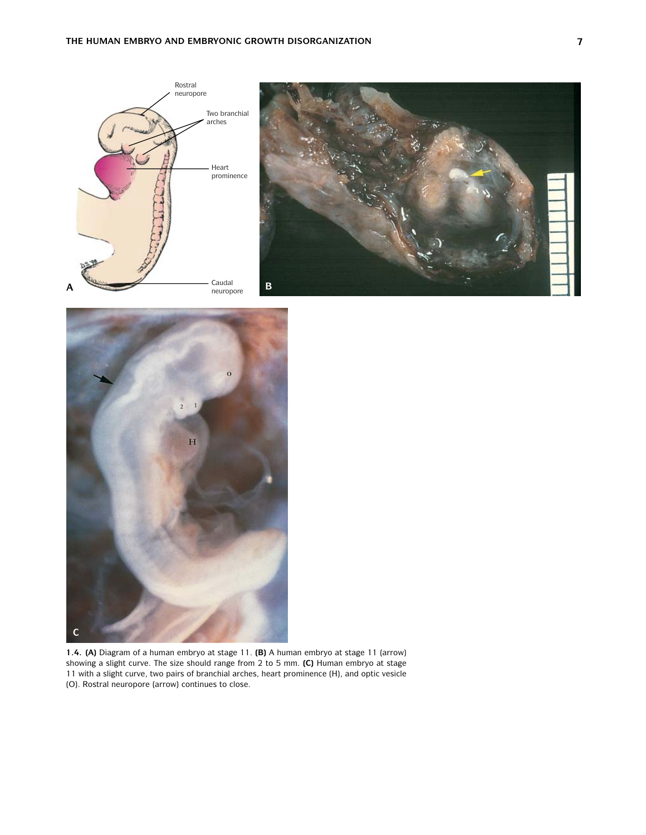



**1.4. (A)** Diagram of a human embryo at stage 11. **(B)** A human embryo at stage 11 (arrow) showing a slight curve. The size should range from 2 to 5 mm. **(C)** Human embryo at stage 11 with a slight curve, two pairs of branchial arches, heart prominence (H), and optic vesicle (O). Rostral neuropore (arrow) continues to close.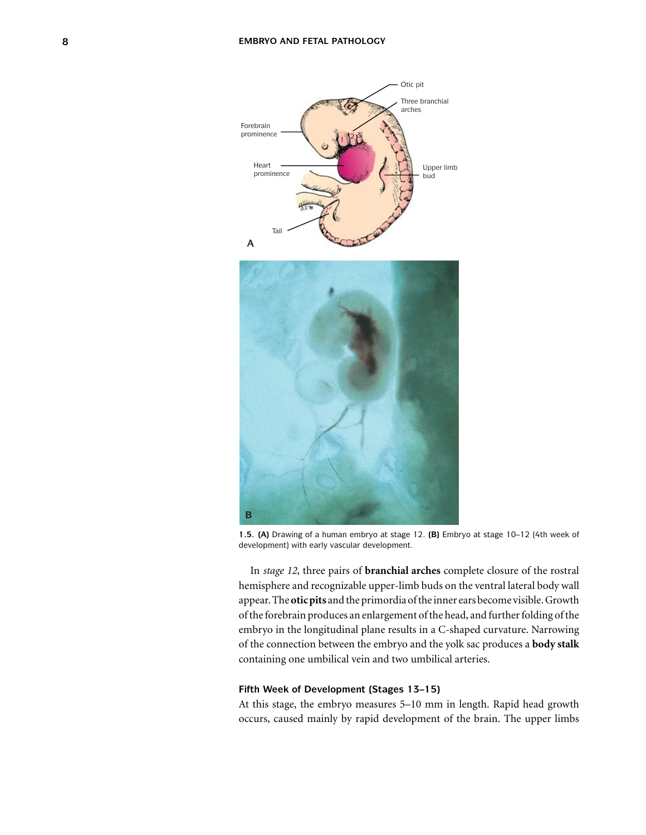

**1.5. (A)** Drawing of a human embryo at stage 12. **(B)** Embryo at stage 10–12 (4th week of development) with early vascular development.

In *stage 12*, three pairs of **branchial arches** complete closure of the rostral hemisphere and recognizable upper-limb buds on the ventral lateral body wall appear. The**oticpits** and the primordia of the inner ears become visible. Growth of the forebrain produces an enlargement of the head, and further folding of the embryo in the longitudinal plane results in a C-shaped curvature. Narrowing of the connection between the embryo and the yolk sac produces a **body stalk** containing one umbilical vein and two umbilical arteries.

# **Fifth Week of Development (Stages 13–15)**

At this stage, the embryo measures 5–10 mm in length. Rapid head growth occurs, caused mainly by rapid development of the brain. The upper limbs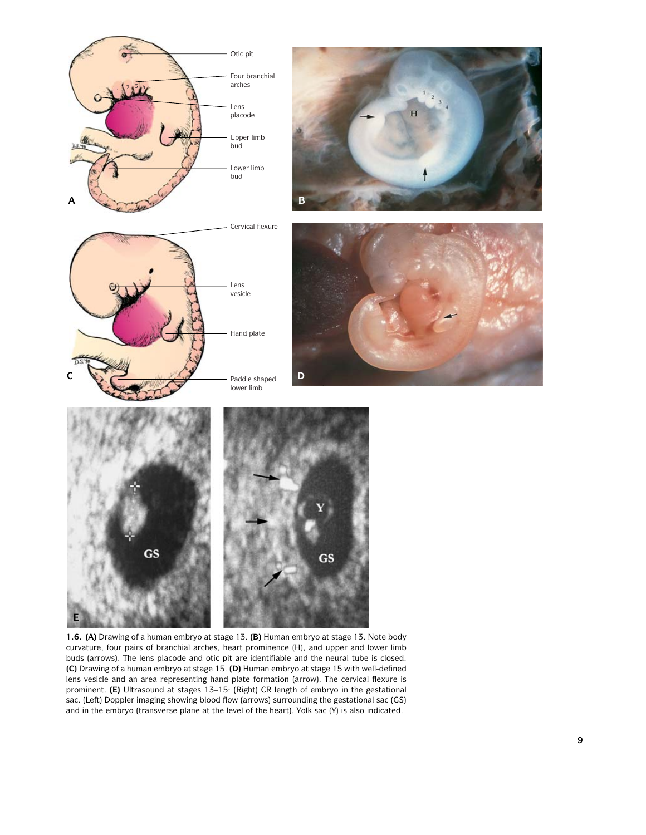









**1.6. (A)** Drawing of a human embryo at stage 13. **(B)** Human embryo at stage 13. Note body curvature, four pairs of branchial arches, heart prominence (H), and upper and lower limb buds (arrows). The lens placode and otic pit are identifiable and the neural tube is closed. **(C)** Drawing of a human embryo at stage 15. **(D)** Human embryo at stage 15 with well-defined lens vesicle and an area representing hand plate formation (arrow). The cervical flexure is prominent. **(E)** Ultrasound at stages 13–15: (Right) CR length of embryo in the gestational sac. (Left) Doppler imaging showing blood flow (arrows) surrounding the gestational sac (GS) and in the embryo (transverse plane at the level of the heart). Yolk sac (Y) is also indicated.

**GS**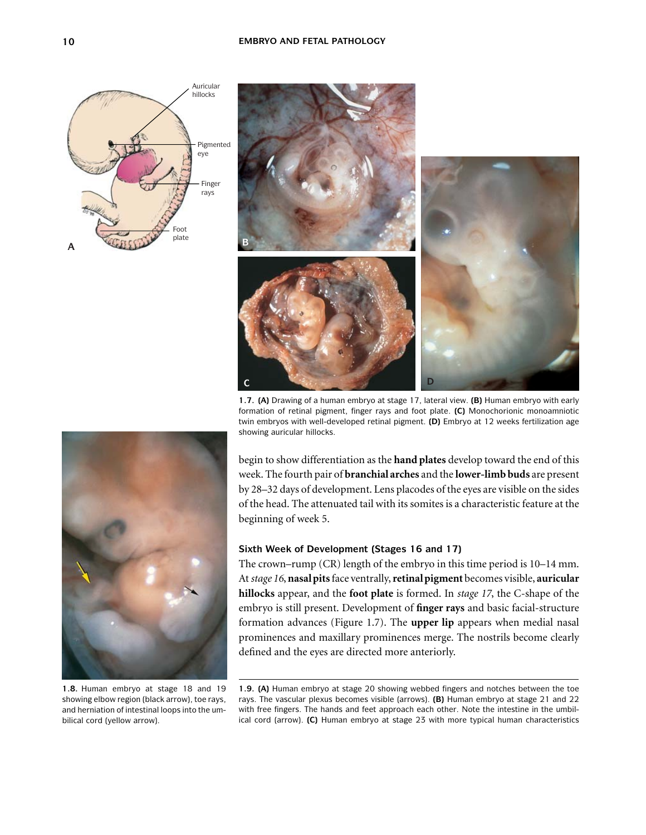



**1.7. (A)** Drawing of a human embryo at stage 17, lateral view. **(B)** Human embryo with early formation of retinal pigment, finger rays and foot plate. **(C)** Monochorionic monoamniotic twin embryos with well-developed retinal pigment. **(D)** Embryo at 12 weeks fertilization age showing auricular hillocks.



**1.8.** Human embryo at stage 18 and 19 showing elbow region (black arrow), toe rays, and herniation of intestinal loops into the umbilical cord (yellow arrow).

begin to show differentiation as the **hand plates** develop toward the end of this week. The fourth pair of **branchial arches** and the **lower-limb buds** are present by 28–32 days of development. Lens placodes of the eyes are visible on the sides of the head. The attenuated tail with its somites is a characteristic feature at the beginning of week 5.

# **Sixth Week of Development (Stages 16 and 17)**

The crown–rump (CR) length of the embryo in this time period is 10–14 mm. At*stage 16*, **nasal pits**face ventrally,**retinal pigment** becomes visible, **auricular hillocks** appear, and the **foot plate** is formed. In *stage 17*, the C-shape of the embryo is still present. Development of **finger rays** and basic facial-structure formation advances (Figure 1.7). The **upper lip** appears when medial nasal prominences and maxillary prominences merge. The nostrils become clearly defined and the eyes are directed more anteriorly.

**1.9. (A)** Human embryo at stage 20 showing webbed fingers and notches between the toe rays. The vascular plexus becomes visible (arrows). **(B)** Human embryo at stage 21 and 22 with free fingers. The hands and feet approach each other. Note the intestine in the umbilical cord (arrow). **(C)** Human embryo at stage 23 with more typical human characteristics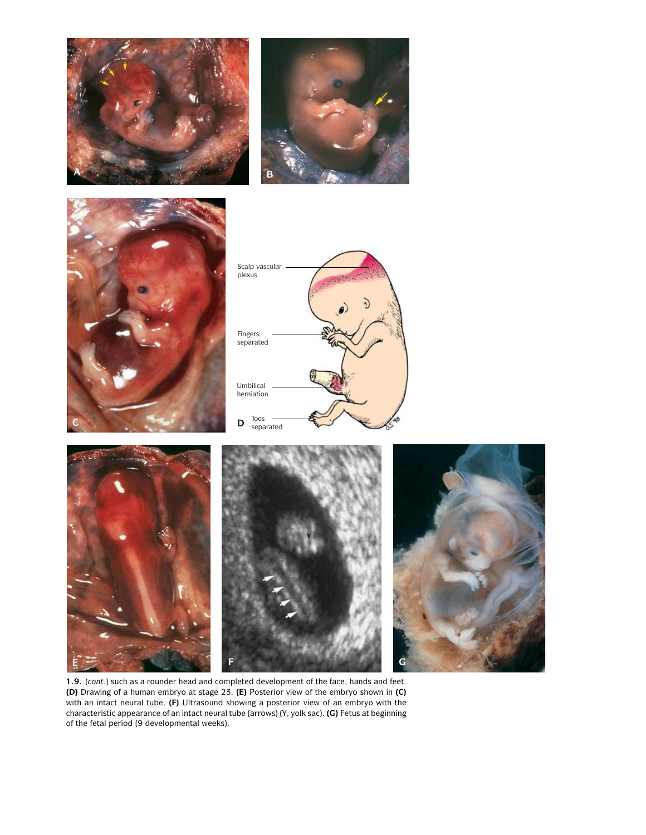









**1.9.** (*cont.*) such as a rounder head and completed development of the face, hands and feet. **(D)** Drawing of a human embryo at stage 23. **(E)** Posterior view of the embryo shown in **(C)** with an intact neural tube. **(F)** Ultrasound showing a posterior view of an embryo with the characteristic appearance of an intact neural tube (arrows) (Y, yolk sac). **(G)** Fetus at beginning of the fetal period (9 developmental weeks).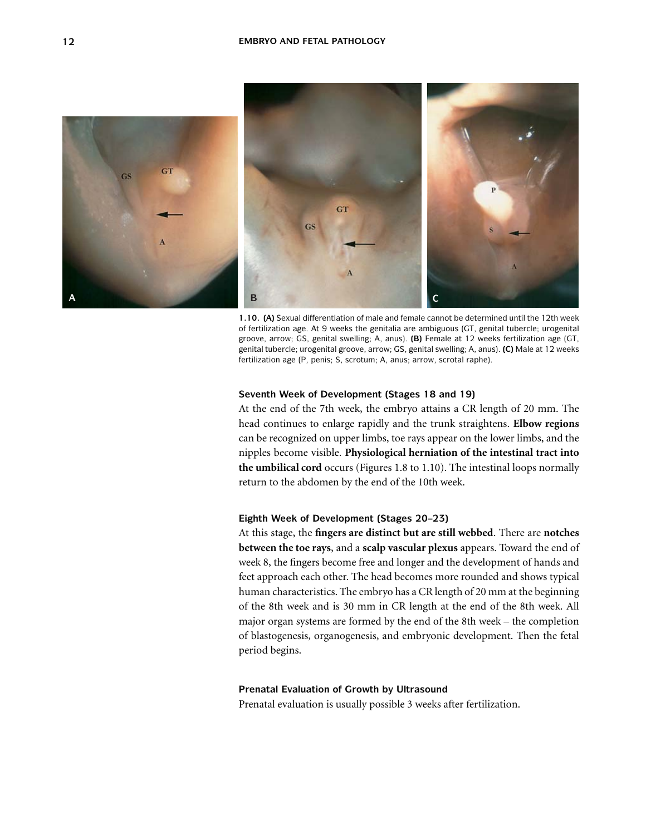

**1.10. (A)** Sexual differentiation of male and female cannot be determined until the 12th week of fertilization age. At 9 weeks the genitalia are ambiguous (GT, genital tubercle; urogenital groove, arrow; GS, genital swelling; A, anus). **(B)** Female at 12 weeks fertilization age (GT, genital tubercle; urogenital groove, arrow; GS, genital swelling; A, anus). **(C)** Male at 12 weeks fertilization age (P, penis; S, scrotum; A, anus; arrow, scrotal raphe).

#### **Seventh Week of Development (Stages 18 and 19)**

At the end of the 7th week, the embryo attains a CR length of 20 mm. The head continues to enlarge rapidly and the trunk straightens. **Elbow regions** can be recognized on upper limbs, toe rays appear on the lower limbs, and the nipples become visible. **Physiological herniation of the intestinal tract into the umbilical cord** occurs (Figures 1.8 to 1.10). The intestinal loops normally return to the abdomen by the end of the 10th week.

## **Eighth Week of Development (Stages 20–23)**

At this stage, the **fingers are distinct but are still webbed**. There are **notches between the toe rays**, and a **scalp vascular plexus** appears. Toward the end of week 8, the fingers become free and longer and the development of hands and feet approach each other. The head becomes more rounded and shows typical human characteristics. The embryo has a CR length of 20 mm at the beginning of the 8th week and is 30 mm in CR length at the end of the 8th week. All major organ systems are formed by the end of the 8th week – the completion of blastogenesis, organogenesis, and embryonic development. Then the fetal period begins.

## **Prenatal Evaluation of Growth by Ultrasound**

Prenatal evaluation is usually possible 3 weeks after fertilization.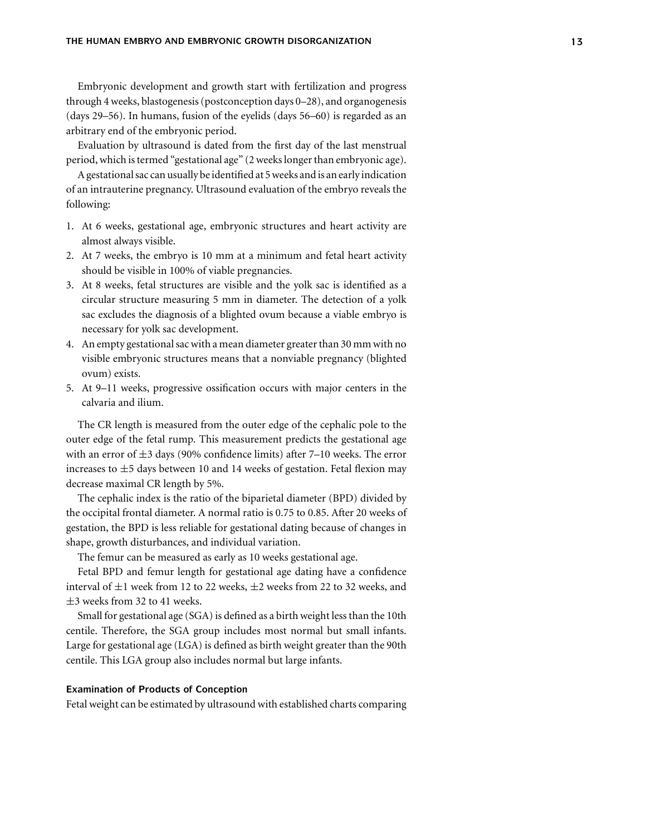Embryonic development and growth start with fertilization and progress through 4 weeks, blastogenesis (postconception days 0–28), and organogenesis (days 29–56). In humans, fusion of the eyelids (days 56–60) is regarded as an arbitrary end of the embryonic period.

Evaluation by ultrasound is dated from the first day of the last menstrual period, which is termed "gestational age" (2 weeks longer than embryonic age).

A gestational sac can usually be identified at 5 weeks and is an early indication of an intrauterine pregnancy. Ultrasound evaluation of the embryo reveals the following:

- 1. At 6 weeks, gestational age, embryonic structures and heart activity are almost always visible.
- 2. At 7 weeks, the embryo is 10 mm at a minimum and fetal heart activity should be visible in 100% of viable pregnancies.
- 3. At 8 weeks, fetal structures are visible and the yolk sac is identified as a circular structure measuring 5 mm in diameter. The detection of a yolk sac excludes the diagnosis of a blighted ovum because a viable embryo is necessary for yolk sac development.
- 4. An empty gestational sac with a mean diameter greater than 30 mm with no visible embryonic structures means that a nonviable pregnancy (blighted ovum) exists.
- 5. At 9–11 weeks, progressive ossification occurs with major centers in the calvaria and ilium.

The CR length is measured from the outer edge of the cephalic pole to the outer edge of the fetal rump. This measurement predicts the gestational age with an error of  $\pm 3$  days (90% confidence limits) after 7–10 weeks. The error increases to  $\pm$ 5 days between 10 and 14 weeks of gestation. Fetal flexion may decrease maximal CR length by 5%.

The cephalic index is the ratio of the biparietal diameter (BPD) divided by the occipital frontal diameter. A normal ratio is 0.75 to 0.85. After 20 weeks of gestation, the BPD is less reliable for gestational dating because of changes in shape, growth disturbances, and individual variation.

The femur can be measured as early as 10 weeks gestational age.

Fetal BPD and femur length for gestational age dating have a confidence interval of  $\pm 1$  week from 12 to 22 weeks,  $\pm 2$  weeks from 22 to 32 weeks, and  $\pm$ 3 weeks from 32 to 41 weeks.

Small for gestational age (SGA) is defined as a birth weight less than the 10th centile. Therefore, the SGA group includes most normal but small infants. Large for gestational age (LGA) is defined as birth weight greater than the 90th centile. This LGA group also includes normal but large infants.

## **Examination of Products of Conception**

Fetal weight can be estimated by ultrasound with established charts comparing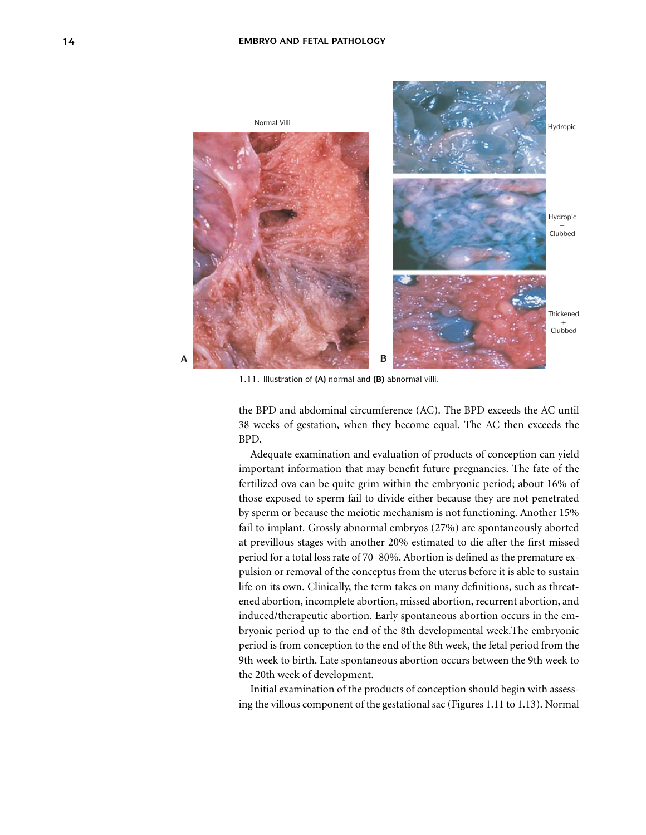

**1.11.** Illustration of **(A)** normal and **(B)** abnormal villi.

the BPD and abdominal circumference (AC). The BPD exceeds the AC until 38 weeks of gestation, when they become equal. The AC then exceeds the BPD.

Adequate examination and evaluation of products of conception can yield important information that may benefit future pregnancies. The fate of the fertilized ova can be quite grim within the embryonic period; about 16% of those exposed to sperm fail to divide either because they are not penetrated by sperm or because the meiotic mechanism is not functioning. Another 15% fail to implant. Grossly abnormal embryos (27%) are spontaneously aborted at previllous stages with another 20% estimated to die after the first missed period for a total loss rate of 70–80%. Abortion is defined as the premature expulsion or removal of the conceptus from the uterus before it is able to sustain life on its own. Clinically, the term takes on many definitions, such as threatened abortion, incomplete abortion, missed abortion, recurrent abortion, and induced/therapeutic abortion. Early spontaneous abortion occurs in the embryonic period up to the end of the 8th developmental week.The embryonic period is from conception to the end of the 8th week, the fetal period from the 9th week to birth. Late spontaneous abortion occurs between the 9th week to the 20th week of development.

Initial examination of the products of conception should begin with assessing the villous component of the gestational sac (Figures 1.11 to 1.13). Normal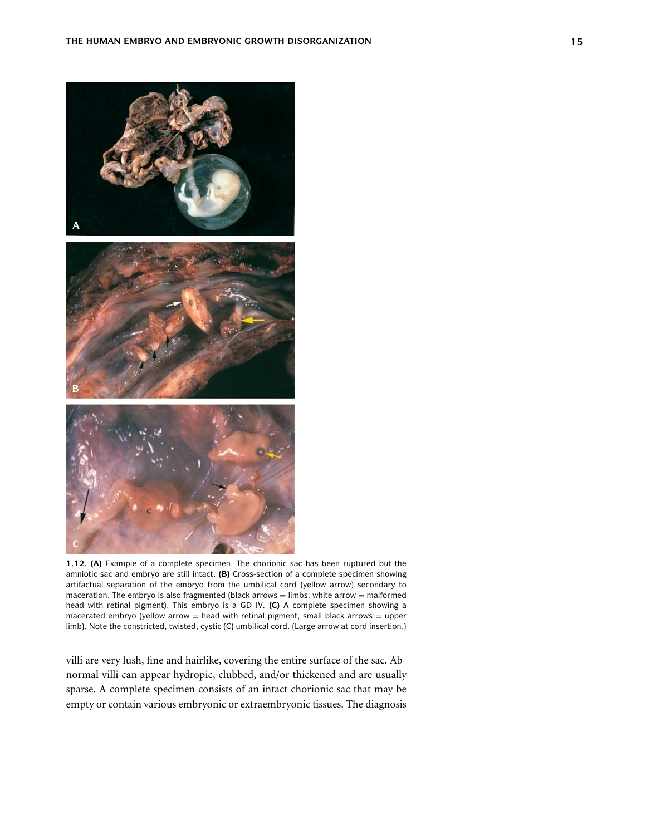

**1.12. (A)** Example of a complete specimen. The chorionic sac has been ruptured but the amniotic sac and embryo are still intact. **(B)** Cross-section of a complete specimen showing artifactual separation of the embryo from the umbilical cord (yellow arrow) secondary to maceration. The embryo is also fragmented (black arrows  $=$  limbs, white arrow  $=$  malformed head with retinal pigment). This embryo is a GD IV. **(C)** A complete specimen showing a macerated embryo (yellow arrow  $=$  head with retinal pigment, small black arrows  $=$  upper limb). Note the constricted, twisted, cystic (C) umbilical cord. (Large arrow at cord insertion.)

villi are very lush, fine and hairlike, covering the entire surface of the sac. Abnormal villi can appear hydropic, clubbed, and/or thickened and are usually sparse. A complete specimen consists of an intact chorionic sac that may be empty or contain various embryonic or extraembryonic tissues. The diagnosis